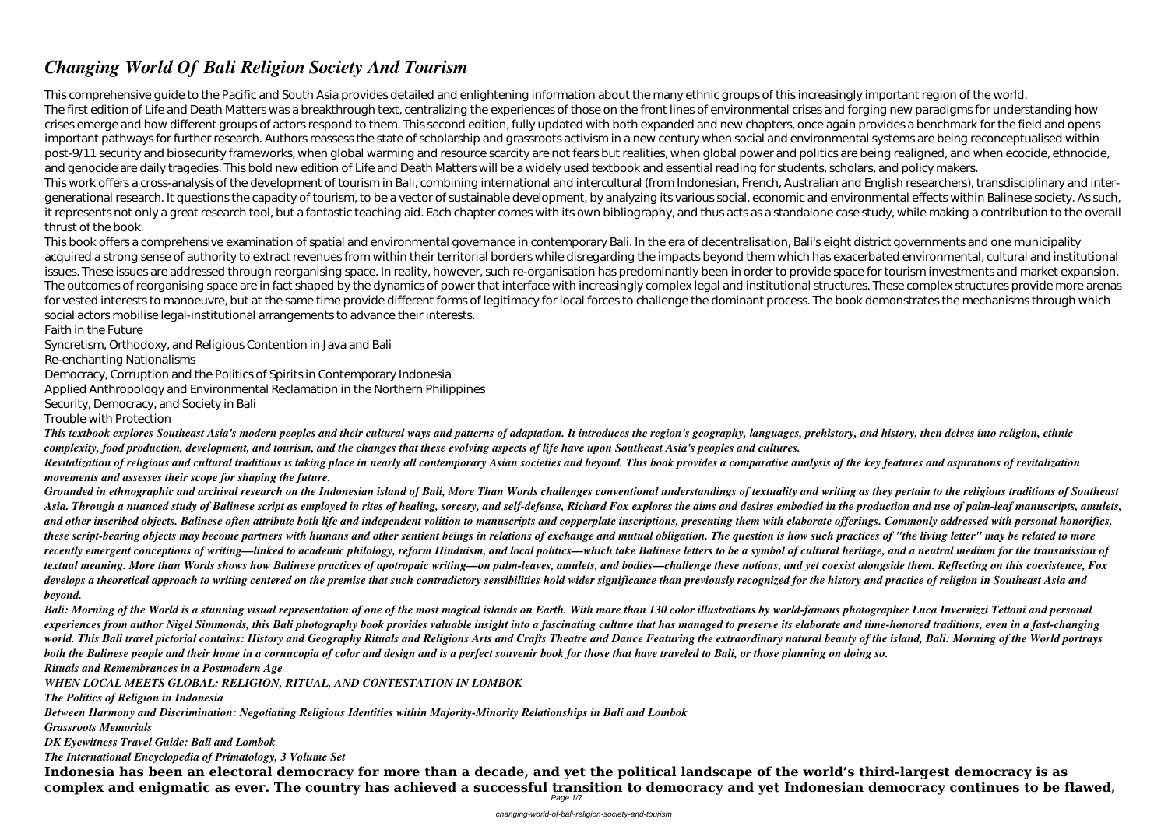## *Changing World Of Bali Religion Society And Tourism*

This comprehensive guide to the Pacific and South Asia provides detailed and enlightening information about the many ethnic groups of this increasingly important region of the world. The first edition of Life and Death Matters was a breakthrough text, centralizing the experiences of those on the front lines of environmental crises and forging new paradigms for understanding how crises emerge and how different groups of actors respond to them. This second edition, fully updated with both expanded and new chapters, once again provides a benchmark for the field and opens important pathways for further research. Authors reassess the state of scholarship and grassroots activism in a new century when social and environmental systems are being reconceptualised within post-9/11 security and biosecurity frameworks, when global warming and resource scarcity are not fears but realities, when global power and politics are being realigned, and when ecocide, ethnocide, and genocide are daily tragedies. This bold new edition of Life and Death Matters will be a widely used textbook and essential reading for students, scholars, and policy makers. This work offers a cross-analysis of the development of tourism in Bali, combining international and intercultural (from Indonesian, French, Australian and English researchers), transdisciplinary and intergenerational research. It questions the capacity of tourism, to be a vector of sustainable development, by analyzing its various social, economic and environmental effects within Balinese society. As such, it represents not only a great research tool, but a fantastic teaching aid. Each chapter comes with its own bibliography, and thus acts as a standalone case study, while making a contribution to the overall thrust of the book.

Revitalization of religious and cultural traditions is taking place in nearly all contemporary Asian societies and beyond. This book provides a comparative analysis of the key features and aspirations of revitalization *movements and assesses their scope for shaping the future.*

This book offers a comprehensive examination of spatial and environmental governance in contemporary Bali. In the era of decentralisation, Bali's eight district governments and one municipality acquired a strong sense of authority to extract revenues from within their territorial borders while disregarding the impacts beyond them which has exacerbated environmental, cultural and institutional issues. These issues are addressed through reorganising space. In reality, however, such re-organisation has predominantly been in order to provide space for tourism investments and market expansion. The outcomes of reorganising space are in fact shaped by the dynamics of power that interface with increasingly complex legal and institutional structures. These complex structures provide more arenas for vested interests to manoeuvre, but at the same time provide different forms of legitimacy for local forces to challenge the dominant process. The book demonstrates the mechanisms through which social actors mobilise legal-institutional arrangements to advance their interests.

Grounded in ethnographic and archival research on the Indonesian island of Bali. More Than Words challenges conventional understandings of textuality and writing as they pertain to the religious traditions of Southeast Asia. Through a nuanced study of Balinese script as employed in rites of healing, sorcery, and self-defense, Richard Fox explores the aims and desires embodied in the production and use of palm-leaf manuscripts, amulets, and other inscribed objects. Balinese often attribute both life and independent volition to manuscripts and copperplate inscriptions, presenting them with elaborate offerings. Commonly addressed with personal honorifics, *these script-bearing objects may become partners with humans and other sentient beings in relations of exchange and mutual obligation. The question is how such practices of "the living letter" may be related to more recently emergent conceptions of writing—linked to academic philology, reform Hinduism, and local politics—which take Balinese letters to be a symbol of cultural heritage, and a neutral medium for the transmission of textual meaning. More than Words shows how Balinese practices of apotropaic writing—on palm-leaves, amulets, and bodies—challenge these notions, and yet coexist alongside them. Reflecting on this coexistence, Fox* develops a theoretical approach to writing centered on the premise that such contradictory sensibilities hold wider significance than previously recognized for the history and practice of religion in Southeast Asia and *beyond.*

Faith in the Future

Syncretism, Orthodoxy, and Religious Contention in Java and Bali

Re-enchanting Nationalisms

Democracy, Corruption and the Politics of Spirits in Contemporary Indonesia

Applied Anthropology and Environmental Reclamation in the Northern Philippines

Security, Democracy, and Society in Bali

Trouble with Protection

*This textbook explores Southeast Asia's modern peoples and their cultural ways and patterns of adaptation. It introduces the region's geography, languages, prehistory, and history, then delves into religion, ethnic complexity, food production, development, and tourism, and the changes that these evolving aspects of life have upon Southeast Asia's peoples and cultures.*

*Bali: Morning of the World is a stunning visual representation of one of the most magical islands on Earth. With more than 130 color illustrations by world-famous photographer Luca Invernizzi Tettoni and personal experiences from author Nigel Simmonds, this Bali photography book provides valuable insight into a fascinating culture that has managed to preserve its elaborate and time-honored traditions, even in a fast-changing world. This Bali travel pictorial contains: History and Geography Rituals and Religions Arts and Crafts Theatre and Dance Featuring the extraordinary natural beauty of the island, Bali: Morning of the World portrays both the Balinese people and their home in a cornucopia of color and design and is a perfect souvenir book for those that have traveled to Bali, or those planning on doing so. Rituals and Remembrances in a Postmodern Age*

*WHEN LOCAL MEETS GLOBAL: RELIGION, RITUAL, AND CONTESTATION IN LOMBOK*

*The Politics of Religion in Indonesia*

*Between Harmony and Discrimination: Negotiating Religious Identities within Majority-Minority Relationships in Bali and Lombok Grassroots Memorials*

*DK Eyewitness Travel Guide: Bali and Lombok*

*The International Encyclopedia of Primatology, 3 Volume Set*

**Indonesia has been an electoral democracy for more than a decade, and yet the political landscape of the world's third-largest democracy is as complex and enigmatic as ever. The country has achieved a successful transition to democracy and yet Indonesian democracy continues to be flawed,** Page 1/7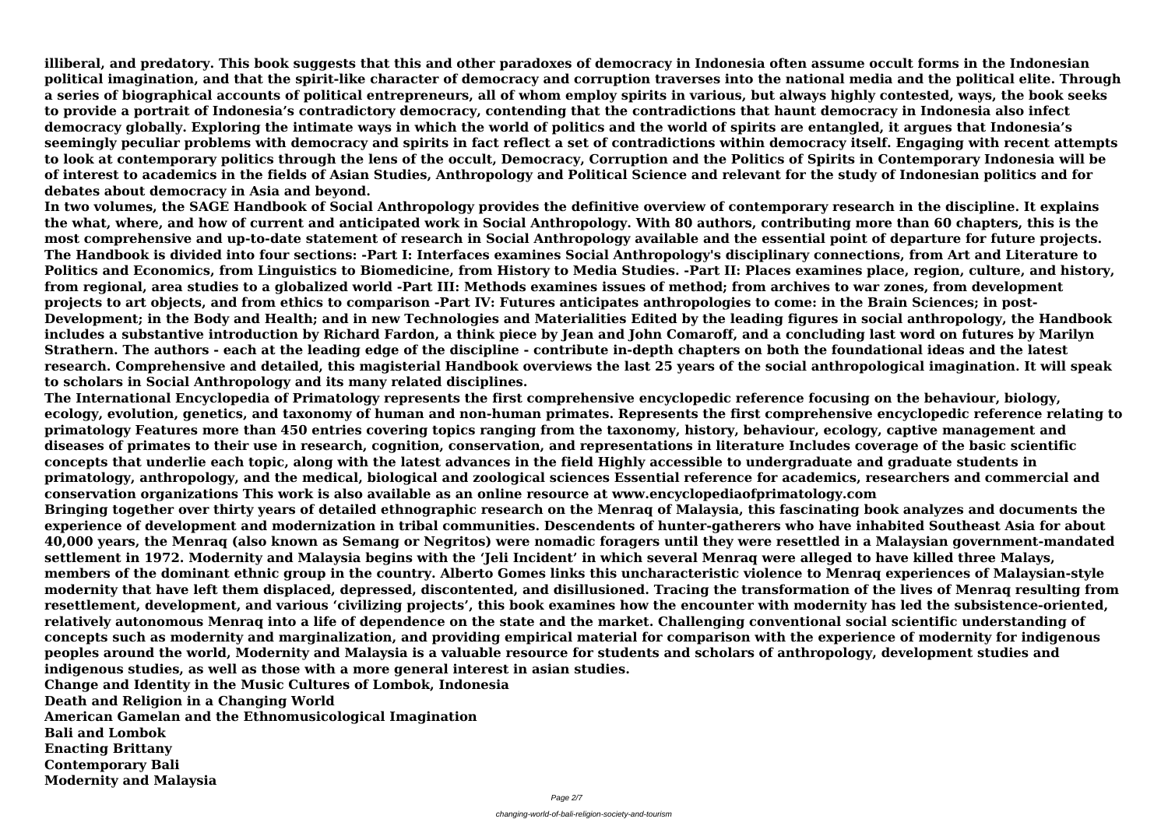**illiberal, and predatory. This book suggests that this and other paradoxes of democracy in Indonesia often assume occult forms in the Indonesian political imagination, and that the spirit-like character of democracy and corruption traverses into the national media and the political elite. Through a series of biographical accounts of political entrepreneurs, all of whom employ spirits in various, but always highly contested, ways, the book seeks to provide a portrait of Indonesia's contradictory democracy, contending that the contradictions that haunt democracy in Indonesia also infect democracy globally. Exploring the intimate ways in which the world of politics and the world of spirits are entangled, it argues that Indonesia's seemingly peculiar problems with democracy and spirits in fact reflect a set of contradictions within democracy itself. Engaging with recent attempts to look at contemporary politics through the lens of the occult, Democracy, Corruption and the Politics of Spirits in Contemporary Indonesia will be of interest to academics in the fields of Asian Studies, Anthropology and Political Science and relevant for the study of Indonesian politics and for debates about democracy in Asia and beyond.**

**In two volumes, the SAGE Handbook of Social Anthropology provides the definitive overview of contemporary research in the discipline. It explains the what, where, and how of current and anticipated work in Social Anthropology. With 80 authors, contributing more than 60 chapters, this is the most comprehensive and up-to-date statement of research in Social Anthropology available and the essential point of departure for future projects. The Handbook is divided into four sections: -Part I: Interfaces examines Social Anthropology's disciplinary connections, from Art and Literature to Politics and Economics, from Linguistics to Biomedicine, from History to Media Studies. -Part II: Places examines place, region, culture, and history, from regional, area studies to a globalized world -Part III: Methods examines issues of method; from archives to war zones, from development projects to art objects, and from ethics to comparison -Part IV: Futures anticipates anthropologies to come: in the Brain Sciences; in post-Development; in the Body and Health; and in new Technologies and Materialities Edited by the leading figures in social anthropology, the Handbook includes a substantive introduction by Richard Fardon, a think piece by Jean and John Comaroff, and a concluding last word on futures by Marilyn Strathern. The authors - each at the leading edge of the discipline - contribute in-depth chapters on both the foundational ideas and the latest research. Comprehensive and detailed, this magisterial Handbook overviews the last 25 years of the social anthropological imagination. It will speak to scholars in Social Anthropology and its many related disciplines.**

**The International Encyclopedia of Primatology represents the first comprehensive encyclopedic reference focusing on the behaviour, biology, ecology, evolution, genetics, and taxonomy of human and non-human primates. Represents the first comprehensive encyclopedic reference relating to primatology Features more than 450 entries covering topics ranging from the taxonomy, history, behaviour, ecology, captive management and diseases of primates to their use in research, cognition, conservation, and representations in literature Includes coverage of the basic scientific concepts that underlie each topic, along with the latest advances in the field Highly accessible to undergraduate and graduate students in primatology, anthropology, and the medical, biological and zoological sciences Essential reference for academics, researchers and commercial and conservation organizations This work is also available as an online resource at www.encyclopediaofprimatology.com Bringing together over thirty years of detailed ethnographic research on the Menraq of Malaysia, this fascinating book analyzes and documents the experience of development and modernization in tribal communities. Descendents of hunter-gatherers who have inhabited Southeast Asia for about 40,000 years, the Menraq (also known as Semang or Negritos) were nomadic foragers until they were resettled in a Malaysian government-mandated settlement in 1972. Modernity and Malaysia begins with the 'Jeli Incident' in which several Menraq were alleged to have killed three Malays, members of the dominant ethnic group in the country. Alberto Gomes links this uncharacteristic violence to Menraq experiences of Malaysian-style modernity that have left them displaced, depressed, discontented, and disillusioned. Tracing the transformation of the lives of Menraq resulting from resettlement, development, and various 'civilizing projects', this book examines how the encounter with modernity has led the subsistence-oriented, relatively autonomous Menraq into a life of dependence on the state and the market. Challenging conventional social scientific understanding of concepts such as modernity and marginalization, and providing empirical material for comparison with the experience of modernity for indigenous peoples around the world, Modernity and Malaysia is a valuable resource for students and scholars of anthropology, development studies and indigenous studies, as well as those with a more general interest in asian studies. Change and Identity in the Music Cultures of Lombok, Indonesia**

**Death and Religion in a Changing World**

**American Gamelan and the Ethnomusicological Imagination**

**Bali and Lombok**

**Enacting Brittany**

**Contemporary Bali Modernity and Malaysia**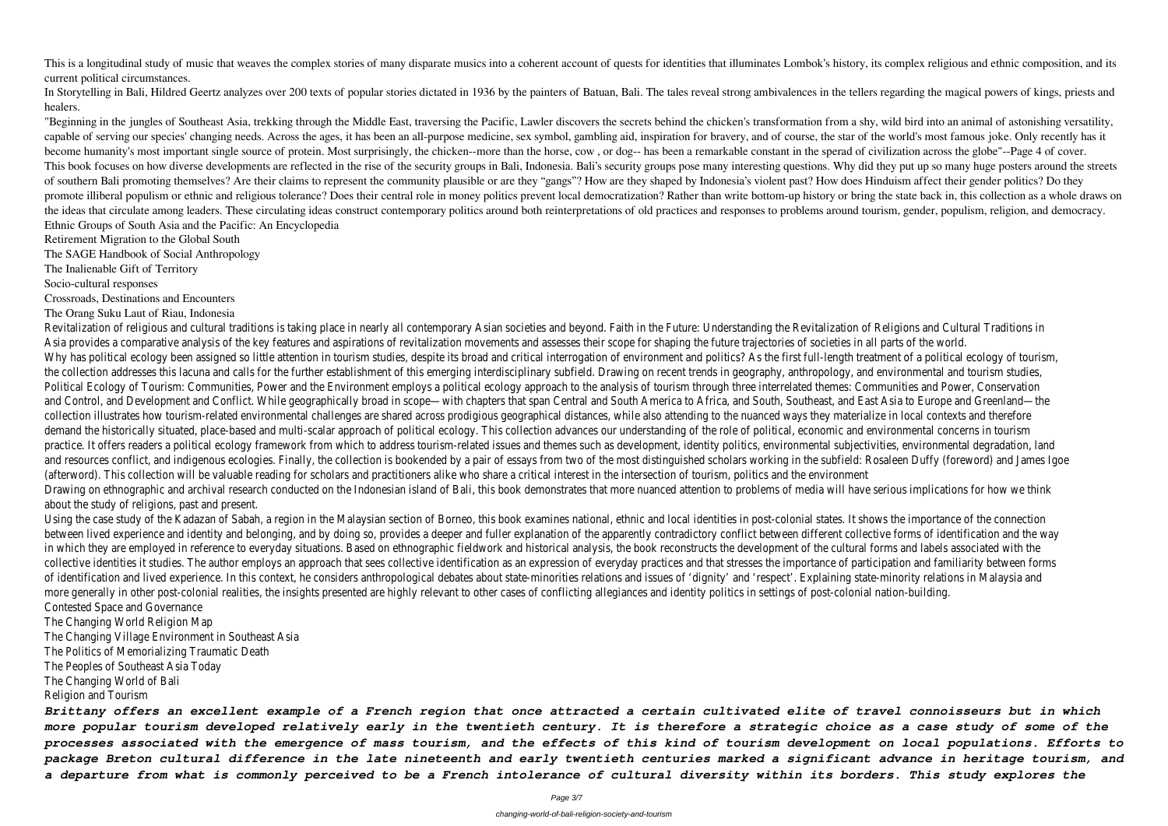This is a longitudinal study of music that weaves the complex stories of many disparate musics into a coherent account of quests for identities that illuminates Lombok's history, its complex religious and ethnic compositio current political circumstances.

In Storytelling in Bali, Hildred Geertz analyzes over 200 texts of popular stories dictated in 1936 by the painters of Batuan, Bali. The tales reveal strong ambivalences in the tellers regarding the magical powers of kings healers.

"Beginning in the jungles of Southeast Asia, trekking through the Middle East, traversing the Pacific, Lawler discovers the secrets behind the chicken's transformation from a shy, wild bird into an animal of astonishing ve capable of serving our species' changing needs. Across the ages, it has been an all-purpose medicine, sex symbol, gambling aid, inspiration for bravery, and of course, the star of the world's most famous joke. Only recentl become humanity's most important single source of protein. Most surprisingly, the chicken--more than the horse, cow , or dog-- has been a remarkable constant in the sperad of civilization across the globe"--Page 4 of cover. This book focuses on how diverse developments are reflected in the rise of the security groups in Bali, Indonesia. Bali's security groups pose many interesting questions. Why did they put up so many huge posters around the of southern Bali promoting themselves? Are their claims to represent the community plausible or are they "gangs"? How are they shaped by Indonesia's violent past? How does Hinduism affect their gender politics? Do they promote illiberal populism or ethnic and religious tolerance? Does their central role in money politics prevent local democratization? Rather than write bottom-up history or bring the state back in, this collection as a wh the ideas that circulate among leaders. These circulating ideas construct contemporary politics around both reinterpretations of old practices and responses to problems around tourism, gender, populism, religion, and democ Ethnic Groups of South Asia and the Pacific: An Encyclopedia

Retirement Migration to the Global South

The SAGE Handbook of Social Anthropology

The Inalienable Gift of Territory

Socio-cultural responses

Crossroads, Destinations and Encounters

The Orang Suku Laut of Riau, Indonesia

Revitalization of religious and cultural traditions is taking place in nearly all contemporary Asian societies and beyond. Faith in the Future: Understanding the Revitalization of Religions and Cultu Asia provides a comparative analysis of the key features and aspirations of revitalization movements and assesses their scope for shaping the future trajectories of societies in all parts of the Why has political ecology been assigned so little attention in tourism studies, despite its broad and critical interrogation of environment and politics? As the first full-length treatment of a political interrogation, of the collection addresses this lacuna and calls for the further establishment of this emerging interdisciplinary subfield. Drawing on recent trends in geography, anthropology, and environmental and tourism and tourism studi Political Ecology of Tourism: Communities, Power and the Environment employs a political ecology approach to the analysis of tourism through three interrelated themes: Communities and Pow and Control, and Development and Conflict. While geographically broad in scope—with chapters that span Central and South America to Africa, and South, Southeast, and East Asia to Europe ar collection illustrates how tourism-related environmental challenges are shared across prodigious geographical distances, while also attending to the nuanced ways they materialize in local contertialize in local contexts an demand the historically situated, place-based and multi-scalar approach of political ecology. This collection advances our understanding of the role of political, economic and environmental concerns in the tourism in to bu practice. It offers readers a political ecology framework from which to address tourism-related issues and themes such as development, identity politics, environmental subjectivities, environmental subjectivities, environm and resources conflict, and indigenous ecologies. Finally, the collection is bookended by a pair of essays from two of the most distinguished scholars working in the subfield: Rosaleen Duffy (fo (afterword). This collection will be valuable reading for scholars and practitioners alike who share a critical interest in the intersection of tourism, politics and the environment Drawing on ethnographic and archival research conducted on the Indonesian island of Bali, this book demonstrates that more nuanced attention to problems of media will have serious implicat about the study of religions, past and present.

Using the case study of the Kadazan of Sabah, a region in the Malaysian section of Borneo, this book examines national, ethnic and local identities in post-colonial states. It shows the importar between lived experience and identity and belonging, and by doing so, provides a deeper and fuller explanation of the apparently contradictory conflict between different collective forms of identification and the way and t in which they are employed in reference to everyday situations. Based on ethnographic fieldwork and historical analysis, the book reconstructs the development of the cultural forms and labels collective identities it studies. The author employs an approach that sees collective identification as an expression of everyday practices and that stresses the importance of participation and forms of exeryday practices of identification and lived experience. In this context, he considers anthropological debates about state-minorities relations and issues of 'dignity' and 'respect'. Explaining state-minority relation more generally in other post-colonial realities, the insights presented are highly relevant to other cases of conflicting allegiances and identity politics in settings of post-colonial nation-building. Contested Space and Governance

The Changing World Religion Map

The Changing Village Environment in Southeast Asia

The Politics of Memorializing Traumatic Death

The Peoples of Southeast Asia Today

The Changing World of Bali

Religion and Tourism

*Brittany offers an excellent example of a French region that once attracted a certain cultivated elite of travel connoisseurs but in which more popular tourism developed relatively early in the twentieth century. It is therefore a strategic choice as a case study of some of the processes associated with the emergence of mass tourism, and the effects of this kind of tourism development on local populations. Efforts to package Breton cultural difference in the late nineteenth and early twentieth centuries marked a significant advance in heritage tourism, and a departure from what is commonly perceived to be a French intolerance of cultural diversity within its borders. This study explores the*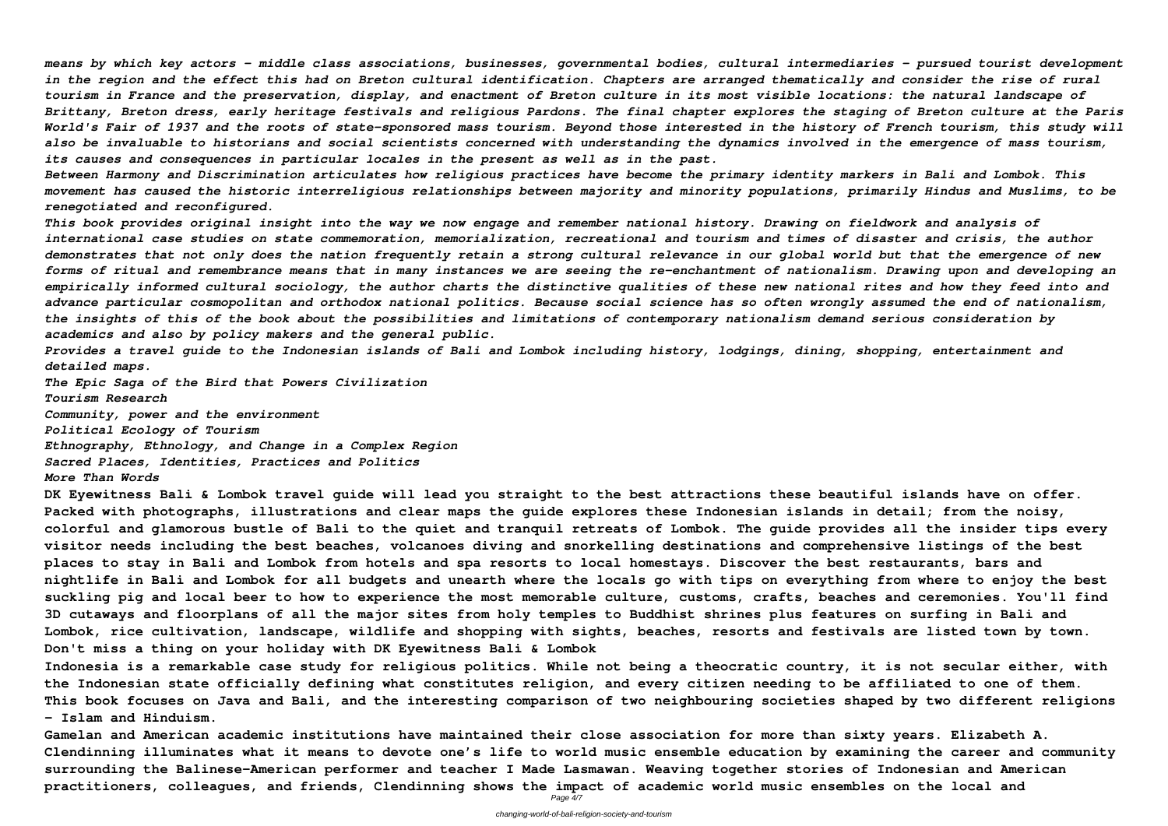*means by which key actors - middle class associations, businesses, governmental bodies, cultural intermediaries - pursued tourist development in the region and the effect this had on Breton cultural identification. Chapters are arranged thematically and consider the rise of rural tourism in France and the preservation, display, and enactment of Breton culture in its most visible locations: the natural landscape of Brittany, Breton dress, early heritage festivals and religious Pardons. The final chapter explores the staging of Breton culture at the Paris* World's Fair of 1937 and the roots of state-sponsored mass tourism. Beyond those interested in the history of French tourism, this study will *also be invaluable to historians and social scientists concerned with understanding the dynamics involved in the emergence of mass tourism, its causes and consequences in particular locales in the present as well as in the past.*

*Between Harmony and Discrimination articulates how religious practices have become the primary identity markers in Bali and Lombok. This movement has caused the historic interreligious relationships between majority and minority populations, primarily Hindus and Muslims, to be renegotiated and reconfigured.*

*This book provides original insight into the way we now engage and remember national history. Drawing on fieldwork and analysis of international case studies on state commemoration, memorialization, recreational and tourism and times of disaster and crisis, the author demonstrates that not only does the nation frequently retain a strong cultural relevance in our global world but that the emergence of new forms of ritual and remembrance means that in many instances we are seeing the re-enchantment of nationalism. Drawing upon and developing an empirically informed cultural sociology, the author charts the distinctive qualities of these new national rites and how they feed into and advance particular cosmopolitan and orthodox national politics. Because social science has so often wrongly assumed the end of nationalism, the insights of this of the book about the possibilities and limitations of contemporary nationalism demand serious consideration by academics and also by policy makers and the general public.*

*Provides a travel guide to the Indonesian islands of Bali and Lombok including history, lodgings, dining, shopping, entertainment and detailed maps.*

*The Epic Saga of the Bird that Powers Civilization Tourism Research Community, power and the environment Political Ecology of Tourism Ethnography, Ethnology, and Change in a Complex Region Sacred Places, Identities, Practices and Politics More Than Words*

**DK Eyewitness Bali & Lombok travel guide will lead you straight to the best attractions these beautiful islands have on offer. Packed with photographs, illustrations and clear maps the guide explores these Indonesian islands in detail; from the noisy, colorful and glamorous bustle of Bali to the quiet and tranquil retreats of Lombok. The guide provides all the insider tips every visitor needs including the best beaches, volcanoes diving and snorkelling destinations and comprehensive listings of the best places to stay in Bali and Lombok from hotels and spa resorts to local homestays. Discover the best restaurants, bars and nightlife in Bali and Lombok for all budgets and unearth where the locals go with tips on everything from where to enjoy the best suckling pig and local beer to how to experience the most memorable culture, customs, crafts, beaches and ceremonies. You'll find 3D cutaways and floorplans of all the major sites from holy temples to Buddhist shrines plus features on surfing in Bali and Lombok, rice cultivation, landscape, wildlife and shopping with sights, beaches, resorts and festivals are listed town by town. Don't miss a thing on your holiday with DK Eyewitness Bali & Lombok**

**Indonesia is a remarkable case study for religious politics. While not being a theocratic country, it is not secular either, with the Indonesian state officially defining what constitutes religion, and every citizen needing to be affiliated to one of them. This book focuses on Java and Bali, and the interesting comparison of two neighbouring societies shaped by two different religions - Islam and Hinduism.**

**Gamelan and American academic institutions have maintained their close association for more than sixty years. Elizabeth A. Clendinning illuminates what it means to devote one's life to world music ensemble education by examining the career and community surrounding the Balinese-American performer and teacher I Made Lasmawan. Weaving together stories of Indonesian and American practitioners, colleagues, and friends, Clendinning shows the impact of academic world music ensembles on the local and**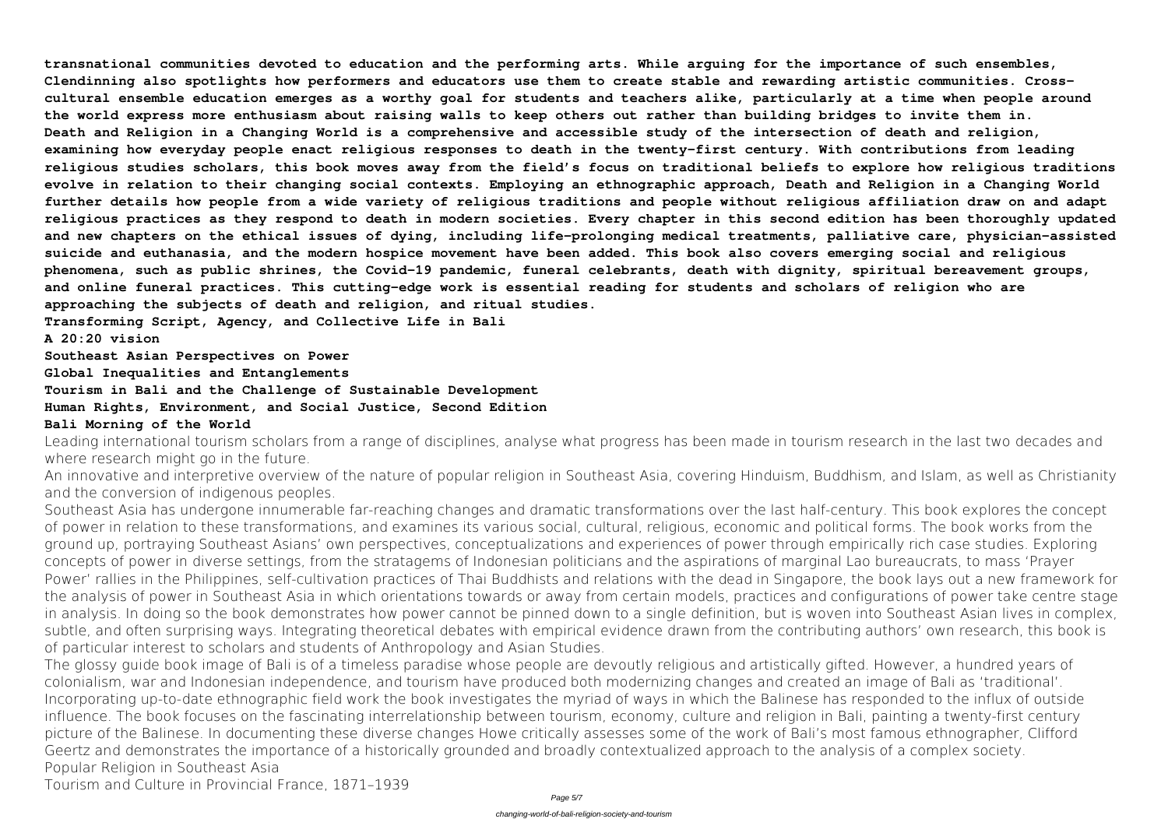**transnational communities devoted to education and the performing arts. While arguing for the importance of such ensembles, Clendinning also spotlights how performers and educators use them to create stable and rewarding artistic communities. Crosscultural ensemble education emerges as a worthy goal for students and teachers alike, particularly at a time when people around the world express more enthusiasm about raising walls to keep others out rather than building bridges to invite them in. Death and Religion in a Changing World is a comprehensive and accessible study of the intersection of death and religion, examining how everyday people enact religious responses to death in the twenty-first century. With contributions from leading religious studies scholars, this book moves away from the field's focus on traditional beliefs to explore how religious traditions evolve in relation to their changing social contexts. Employing an ethnographic approach, Death and Religion in a Changing World further details how people from a wide variety of religious traditions and people without religious affiliation draw on and adapt religious practices as they respond to death in modern societies. Every chapter in this second edition has been thoroughly updated and new chapters on the ethical issues of dying, including life-prolonging medical treatments, palliative care, physician-assisted suicide and euthanasia, and the modern hospice movement have been added. This book also covers emerging social and religious phenomena, such as public shrines, the Covid-19 pandemic, funeral celebrants, death with dignity, spiritual bereavement groups, and online funeral practices. This cutting-edge work is essential reading for students and scholars of religion who are approaching the subjects of death and religion, and ritual studies.**

Leading international tourism scholars from a range of disciplines, analyse what progress has been made in tourism research in the last two decades and where research might go in the future.

**Transforming Script, Agency, and Collective Life in Bali**

**A 20:20 vision**

**Southeast Asian Perspectives on Power**

**Global Inequalities and Entanglements**

**Tourism in Bali and the Challenge of Sustainable Development**

**Human Rights, Environment, and Social Justice, Second Edition**

## **Bali Morning of the World**

An innovative and interpretive overview of the nature of popular religion in Southeast Asia, covering Hinduism, Buddhism, and Islam, as well as Christianity and the conversion of indigenous peoples.

Southeast Asia has undergone innumerable far-reaching changes and dramatic transformations over the last half-century. This book explores the concept of power in relation to these transformations, and examines its various social, cultural, religious, economic and political forms. The book works from the ground up, portraying Southeast Asians' own perspectives, conceptualizations and experiences of power through empirically rich case studies. Exploring concepts of power in diverse settings, from the stratagems of Indonesian politicians and the aspirations of marginal Lao bureaucrats, to mass 'Prayer Power' rallies in the Philippines, self-cultivation practices of Thai Buddhists and relations with the dead in Singapore, the book lays out a new framework for the analysis of power in Southeast Asia in which orientations towards or away from certain models, practices and configurations of power take centre stage in analysis. In doing so the book demonstrates how power cannot be pinned down to a single definition, but is woven into Southeast Asian lives in complex, subtle, and often surprising ways. Integrating theoretical debates with empirical evidence drawn from the contributing authors' own research, this book is of particular interest to scholars and students of Anthropology and Asian Studies.

The glossy guide book image of Bali is of a timeless paradise whose people are devoutly religious and artistically gifted. However, a hundred years of colonialism, war and Indonesian independence, and tourism have produced both modernizing changes and created an image of Bali as 'traditional'. Incorporating up-to-date ethnographic field work the book investigates the myriad of ways in which the Balinese has responded to the influx of outside influence. The book focuses on the fascinating interrelationship between tourism, economy, culture and religion in Bali, painting a twenty-first century picture of the Balinese. In documenting these diverse changes Howe critically assesses some of the work of Bali's most famous ethnographer, Clifford Geertz and demonstrates the importance of a historically grounded and broadly contextualized approach to the analysis of a complex society. Popular Religion in Southeast Asia

Tourism and Culture in Provincial France, 1871–1939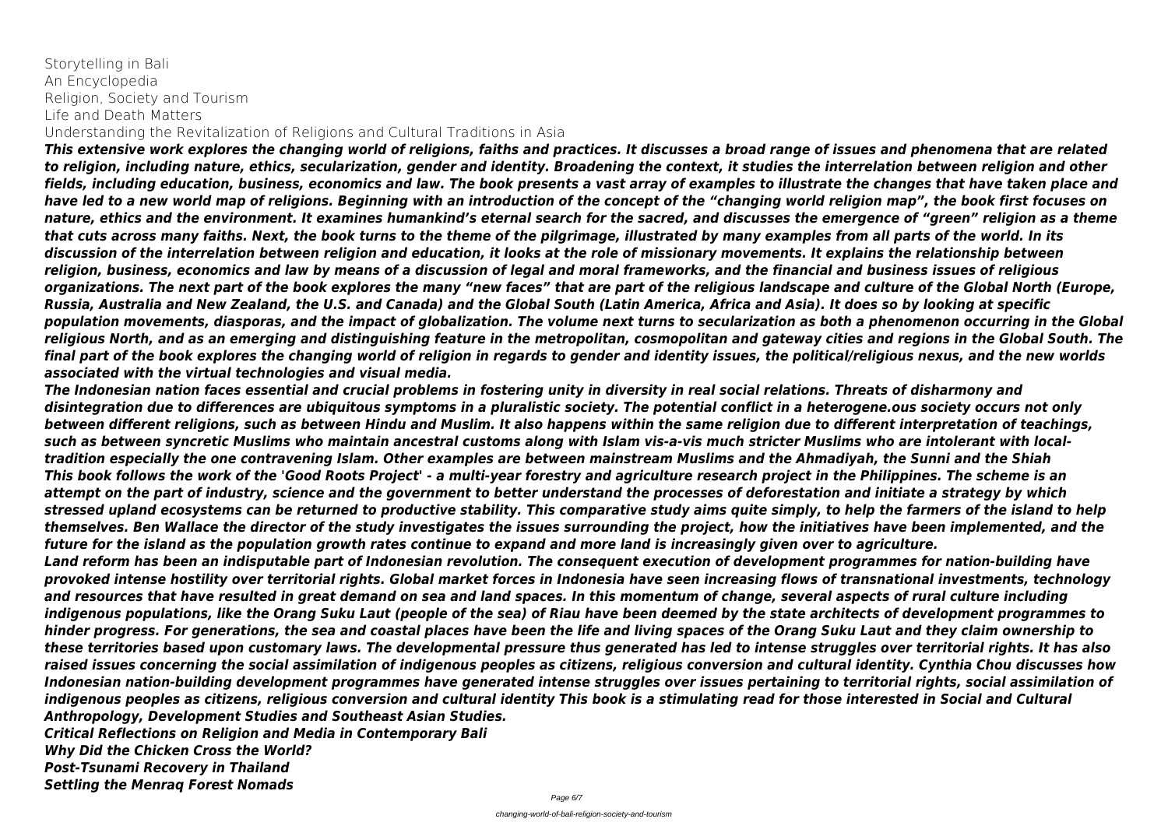Storytelling in Bali An Encyclopedia Religion, Society and Tourism Life and Death Matters

Understanding the Revitalization of Religions and Cultural Traditions in Asia

*This extensive work explores the changing world of religions, faiths and practices. It discusses a broad range of issues and phenomena that are related to religion, including nature, ethics, secularization, gender and identity. Broadening the context, it studies the interrelation between religion and other fields, including education, business, economics and law. The book presents a vast array of examples to illustrate the changes that have taken place and have led to a new world map of religions. Beginning with an introduction of the concept of the "changing world religion map", the book first focuses on nature, ethics and the environment. It examines humankind's eternal search for the sacred, and discusses the emergence of "green" religion as a theme that cuts across many faiths. Next, the book turns to the theme of the pilgrimage, illustrated by many examples from all parts of the world. In its discussion of the interrelation between religion and education, it looks at the role of missionary movements. It explains the relationship between religion, business, economics and law by means of a discussion of legal and moral frameworks, and the financial and business issues of religious organizations. The next part of the book explores the many "new faces" that are part of the religious landscape and culture of the Global North (Europe, Russia, Australia and New Zealand, the U.S. and Canada) and the Global South (Latin America, Africa and Asia). It does so by looking at specific population movements, diasporas, and the impact of globalization. The volume next turns to secularization as both a phenomenon occurring in the Global religious North, and as an emerging and distinguishing feature in the metropolitan, cosmopolitan and gateway cities and regions in the Global South. The final part of the book explores the changing world of religion in regards to gender and identity issues, the political/religious nexus, and the new worlds associated with the virtual technologies and visual media.*

*The Indonesian nation faces essential and crucial problems in fostering unity in diversity in real social relations. Threats of disharmony and disintegration due to differences are ubiquitous symptoms in a pluralistic society. The potential conflict in a heterogene.ous society occurs not only between different religions, such as between Hindu and Muslim. It also happens within the same religion due to different interpretation of teachings, such as between syncretic Muslims who maintain ancestral customs along with Islam vis-a-vis much stricter Muslims who are intolerant with localtradition especially the one contravening Islam. Other examples are between mainstream Muslims and the Ahmadiyah, the Sunni and the Shiah This book follows the work of the 'Good Roots Project' - a multi-year forestry and agriculture research project in the Philippines. The scheme is an attempt on the part of industry, science and the government to better understand the processes of deforestation and initiate a strategy by which stressed upland ecosystems can be returned to productive stability. This comparative study aims quite simply, to help the farmers of the island to help themselves. Ben Wallace the director of the study investigates the issues surrounding the project, how the initiatives have been implemented, and the future for the island as the population growth rates continue to expand and more land is increasingly given over to agriculture. Land reform has been an indisputable part of Indonesian revolution. The consequent execution of development programmes for nation-building have provoked intense hostility over territorial rights. Global market forces in Indonesia have seen increasing flows of transnational investments, technology and resources that have resulted in great demand on sea and land spaces. In this momentum of change, several aspects of rural culture including indigenous populations, like the Orang Suku Laut (people of the sea) of Riau have been deemed by the state architects of development programmes to hinder progress. For generations, the sea and coastal places have been the life and living spaces of the Orang Suku Laut and they claim ownership to these territories based upon customary laws. The developmental pressure thus generated has led to intense struggles over territorial rights. It has also raised issues concerning the social assimilation of indigenous peoples as citizens, religious conversion and cultural identity. Cynthia Chou discusses how Indonesian nation-building development programmes have generated intense struggles over issues pertaining to territorial rights, social assimilation of indigenous peoples as citizens, religious conversion and cultural identity This book is a stimulating read for those interested in Social and Cultural Anthropology, Development Studies and Southeast Asian Studies. Critical Reflections on Religion and Media in Contemporary Bali Why Did the Chicken Cross the World?*

*Post-Tsunami Recovery in Thailand Settling the Menraq Forest Nomads*